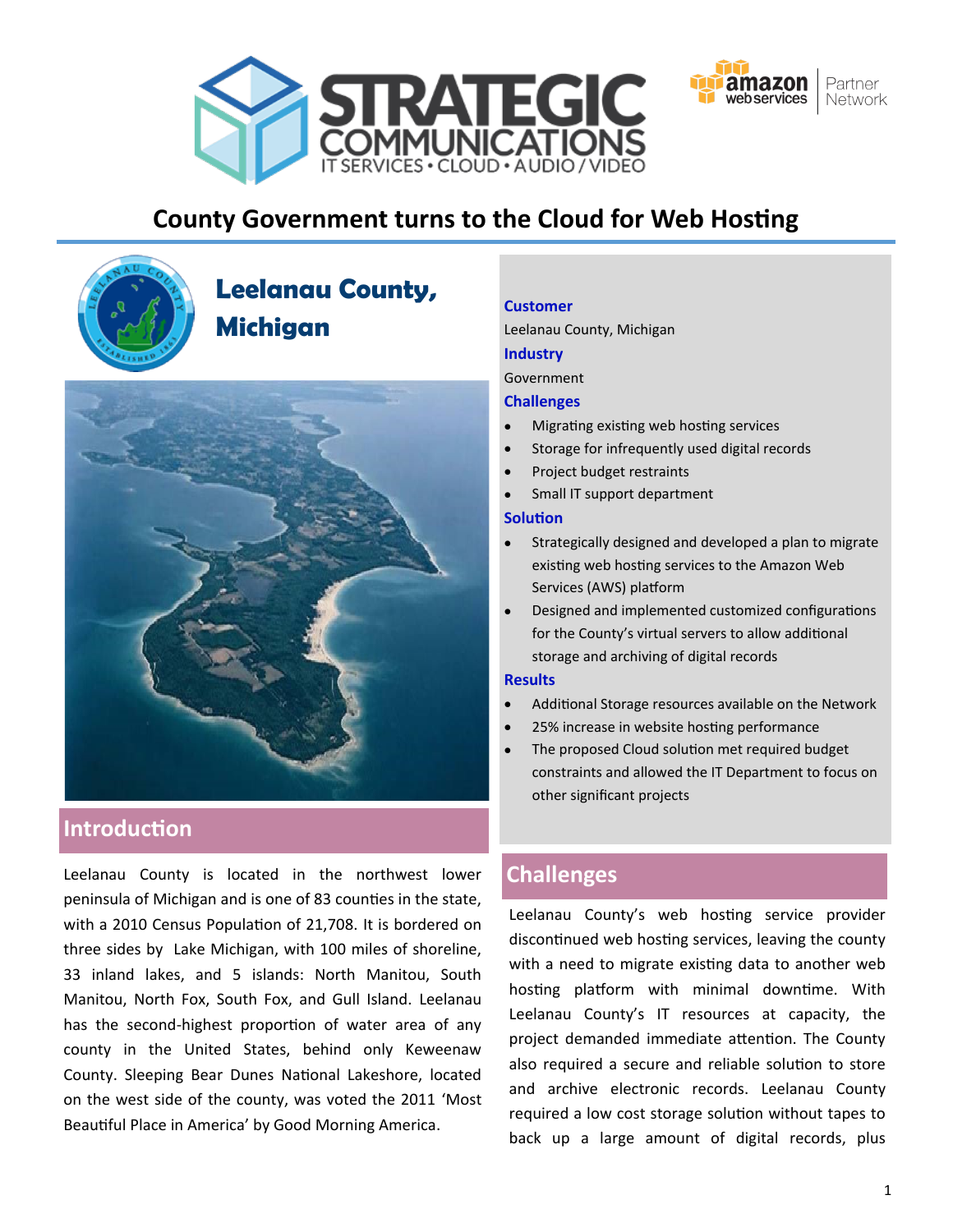



# **County Government turns to the Cloud for Web Hosting**



# **Leelanau County, Michigan**



# **Introduction**

Leelanau County is located in the northwest lower **Challenges** peninsula of Michigan and is one of 83 counties in the state, with a 2010 Census Population of 21,708. It is bordered on three sides by Lake Michigan, with 100 miles of shoreline, 33 inland lakes, and 5 islands: North Manitou, South Manitou, North Fox, South Fox, and Gull Island. Leelanau has the second-highest proportion of water area of any county in the United States, behind only Keweenaw County. Sleeping Bear Dunes National Lakeshore, located on the west side of the county, was voted the 2011 'Most Beautiful Place in America' by Good Morning America.

#### **Customer**

Leelanau County, Michigan

# **Industry**

**Government** 

### **Challenges**

- Migrating existing web hosting services
- Storage for infrequently used digital records
- Project budget restraints
- Small IT support department

#### **Solution**

- Strategically designed and developed a plan to migrate existing web hosting services to the Amazon Web Services (AWS) platform
- Designed and implemented customized configurations for the County's virtual servers to allow additional storage and archiving of digital records

#### **Results**

- Additional Storage resources available on the Network
- 25% increase in website hosting performance
- The proposed Cloud solution met required budget constraints and allowed the IT Department to focus on other significant projects

Leelanau County's web hosting service provider discontinued web hosting services, leaving the county with a need to migrate existing data to another web hosting platform with minimal downtime. With Leelanau County's IT resources at capacity, the project demanded immediate attention. The County also required a secure and reliable solution to store and archive electronic records. Leelanau County required a low cost storage solution without tapes to back up a large amount of digital records, plus